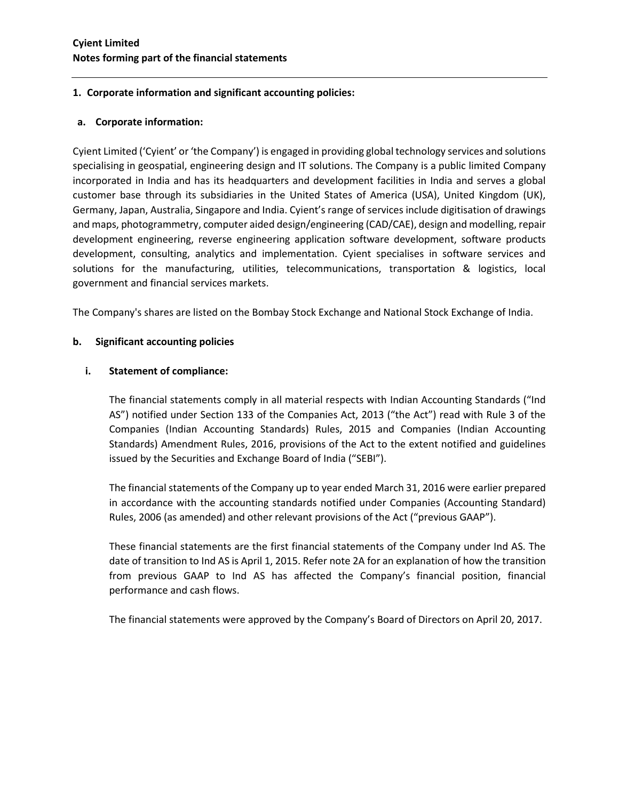# **1. Corporate information and significant accounting policies:**

# **a. Corporate information:**

Cyient Limited ('Cyient' or 'the Company') is engaged in providing global technology services and solutions specialising in geospatial, engineering design and IT solutions. The Company is a public limited Company incorporated in India and has its headquarters and development facilities in India and serves a global customer base through its subsidiaries in the United States of America (USA), United Kingdom (UK), Germany, Japan, Australia, Singapore and India. Cyient's range of services include digitisation of drawings and maps, photogrammetry, computer aided design/engineering (CAD/CAE), design and modelling, repair development engineering, reverse engineering application software development, software products development, consulting, analytics and implementation. Cyient specialises in software services and solutions for the manufacturing, utilities, telecommunications, transportation & logistics, local government and financial services markets.

The Company's shares are listed on the Bombay Stock Exchange and National Stock Exchange of India.

# **b. Significant accounting policies**

# **i. Statement of compliance:**

The financial statements comply in all material respects with Indian Accounting Standards ("Ind AS") notified under Section 133 of the Companies Act, 2013 ("the Act") read with Rule 3 of the Companies (Indian Accounting Standards) Rules, 2015 and Companies (Indian Accounting Standards) Amendment Rules, 2016, provisions of the Act to the extent notified and guidelines issued by the Securities and Exchange Board of India ("SEBI").

The financial statements of the Company up to year ended March 31, 2016 were earlier prepared in accordance with the accounting standards notified under Companies (Accounting Standard) Rules, 2006 (as amended) and other relevant provisions of the Act ("previous GAAP").

These financial statements are the first financial statements of the Company under Ind AS. The date of transition to Ind AS is April 1, 2015. Refer note 2A for an explanation of how the transition from previous GAAP to Ind AS has affected the Company's financial position, financial performance and cash flows.

The financial statements were approved by the Company's Board of Directors on April 20, 2017.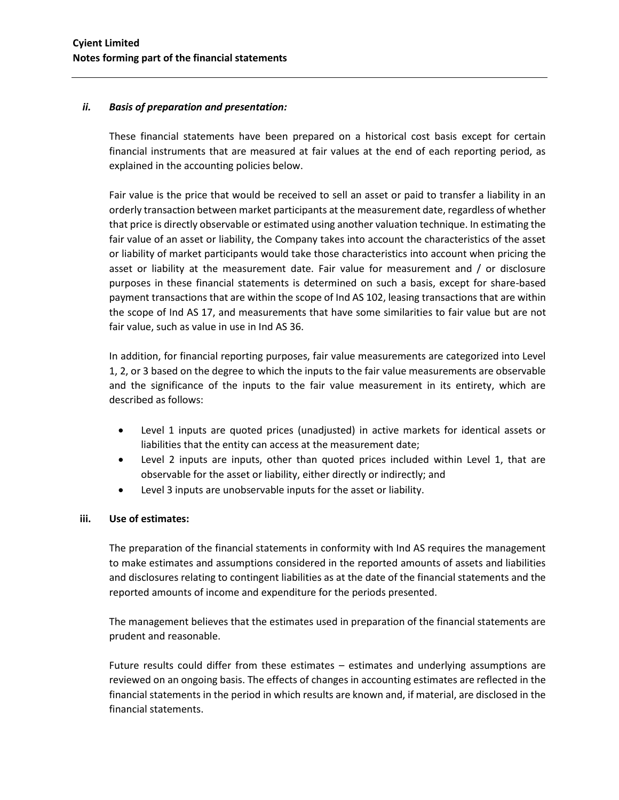### *ii. Basis of preparation and presentation:*

These financial statements have been prepared on a historical cost basis except for certain financial instruments that are measured at fair values at the end of each reporting period, as explained in the accounting policies below.

Fair value is the price that would be received to sell an asset or paid to transfer a liability in an orderly transaction between market participants at the measurement date, regardless of whether that price is directly observable or estimated using another valuation technique. In estimating the fair value of an asset or liability, the Company takes into account the characteristics of the asset or liability of market participants would take those characteristics into account when pricing the asset or liability at the measurement date. Fair value for measurement and / or disclosure purposes in these financial statements is determined on such a basis, except for share-based payment transactions that are within the scope of Ind AS 102, leasing transactions that are within the scope of Ind AS 17, and measurements that have some similarities to fair value but are not fair value, such as value in use in Ind AS 36.

In addition, for financial reporting purposes, fair value measurements are categorized into Level 1, 2, or 3 based on the degree to which the inputs to the fair value measurements are observable and the significance of the inputs to the fair value measurement in its entirety, which are described as follows:

- Level 1 inputs are quoted prices (unadjusted) in active markets for identical assets or liabilities that the entity can access at the measurement date;
- Level 2 inputs are inputs, other than quoted prices included within Level 1, that are observable for the asset or liability, either directly or indirectly; and
- Level 3 inputs are unobservable inputs for the asset or liability.

# **iii. Use of estimates:**

The preparation of the financial statements in conformity with Ind AS requires the management to make estimates and assumptions considered in the reported amounts of assets and liabilities and disclosures relating to contingent liabilities as at the date of the financial statements and the reported amounts of income and expenditure for the periods presented.

The management believes that the estimates used in preparation of the financial statements are prudent and reasonable.

Future results could differ from these estimates – estimates and underlying assumptions are reviewed on an ongoing basis. The effects of changes in accounting estimates are reflected in the financial statements in the period in which results are known and, if material, are disclosed in the financial statements.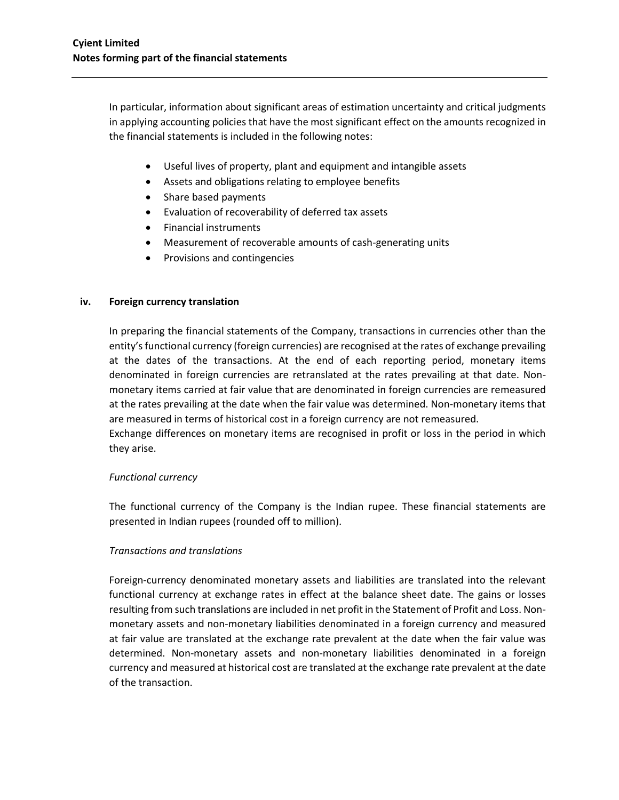In particular, information about significant areas of estimation uncertainty and critical judgments in applying accounting policies that have the most significant effect on the amounts recognized in the financial statements is included in the following notes:

- Useful lives of property, plant and equipment and intangible assets
- Assets and obligations relating to employee benefits
- Share based payments
- Evaluation of recoverability of deferred tax assets
- Financial instruments
- Measurement of recoverable amounts of cash-generating units
- Provisions and contingencies

#### **iv. Foreign currency translation**

In preparing the financial statements of the Company, transactions in currencies other than the entity's functional currency (foreign currencies) are recognised at the rates of exchange prevailing at the dates of the transactions. At the end of each reporting period, monetary items denominated in foreign currencies are retranslated at the rates prevailing at that date. Nonmonetary items carried at fair value that are denominated in foreign currencies are remeasured at the rates prevailing at the date when the fair value was determined. Non-monetary items that are measured in terms of historical cost in a foreign currency are not remeasured.

Exchange differences on monetary items are recognised in profit or loss in the period in which they arise.

# *Functional currency*

The functional currency of the Company is the Indian rupee. These financial statements are presented in Indian rupees (rounded off to million).

# *Transactions and translations*

Foreign-currency denominated monetary assets and liabilities are translated into the relevant functional currency at exchange rates in effect at the balance sheet date. The gains or losses resulting from such translations are included in net profit in the Statement of Profit and Loss. Nonmonetary assets and non-monetary liabilities denominated in a foreign currency and measured at fair value are translated at the exchange rate prevalent at the date when the fair value was determined. Non-monetary assets and non-monetary liabilities denominated in a foreign currency and measured at historical cost are translated at the exchange rate prevalent at the date of the transaction.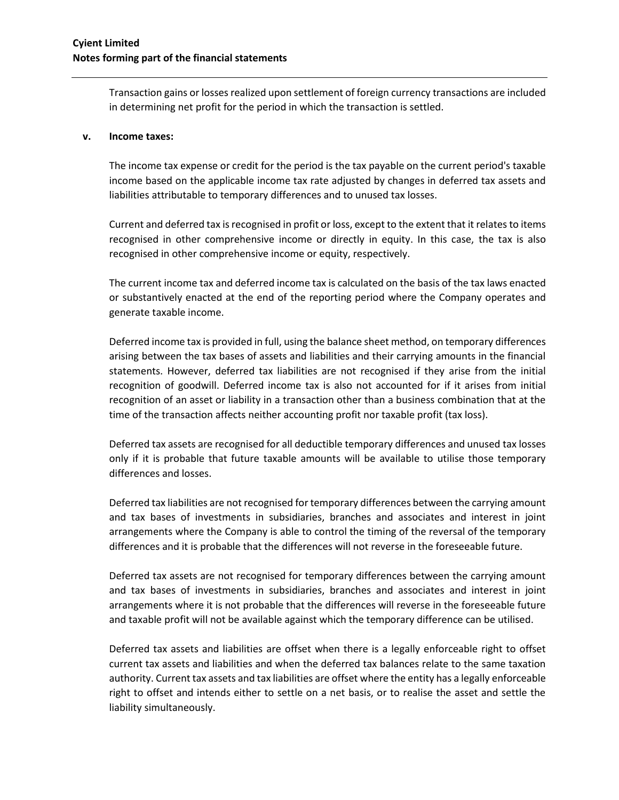Transaction gains or losses realized upon settlement of foreign currency transactions are included in determining net profit for the period in which the transaction is settled.

#### **v. Income taxes:**

The income tax expense or credit for the period is the tax payable on the current period's taxable income based on the applicable income tax rate adjusted by changes in deferred tax assets and liabilities attributable to temporary differences and to unused tax losses.

Current and deferred tax is recognised in profit or loss, except to the extent that it relates to items recognised in other comprehensive income or directly in equity. In this case, the tax is also recognised in other comprehensive income or equity, respectively.

The current income tax and deferred income tax is calculated on the basis of the tax laws enacted or substantively enacted at the end of the reporting period where the Company operates and generate taxable income.

Deferred income tax is provided in full, using the balance sheet method, on temporary differences arising between the tax bases of assets and liabilities and their carrying amounts in the financial statements. However, deferred tax liabilities are not recognised if they arise from the initial recognition of goodwill. Deferred income tax is also not accounted for if it arises from initial recognition of an asset or liability in a transaction other than a business combination that at the time of the transaction affects neither accounting profit nor taxable profit (tax loss).

Deferred tax assets are recognised for all deductible temporary differences and unused tax losses only if it is probable that future taxable amounts will be available to utilise those temporary differences and losses.

Deferred tax liabilities are not recognised for temporary differences between the carrying amount and tax bases of investments in subsidiaries, branches and associates and interest in joint arrangements where the Company is able to control the timing of the reversal of the temporary differences and it is probable that the differences will not reverse in the foreseeable future.

Deferred tax assets are not recognised for temporary differences between the carrying amount and tax bases of investments in subsidiaries, branches and associates and interest in joint arrangements where it is not probable that the differences will reverse in the foreseeable future and taxable profit will not be available against which the temporary difference can be utilised.

Deferred tax assets and liabilities are offset when there is a legally enforceable right to offset current tax assets and liabilities and when the deferred tax balances relate to the same taxation authority. Current tax assets and tax liabilities are offset where the entity has a legally enforceable right to offset and intends either to settle on a net basis, or to realise the asset and settle the liability simultaneously.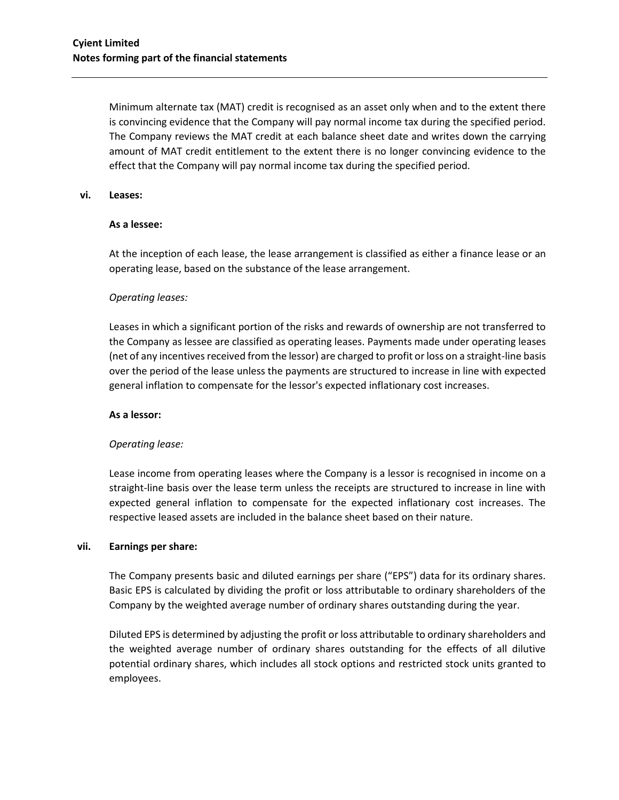Minimum alternate tax (MAT) credit is recognised as an asset only when and to the extent there is convincing evidence that the Company will pay normal income tax during the specified period. The Company reviews the MAT credit at each balance sheet date and writes down the carrying amount of MAT credit entitlement to the extent there is no longer convincing evidence to the effect that the Company will pay normal income tax during the specified period.

#### **vi. Leases:**

#### **As a lessee:**

At the inception of each lease, the lease arrangement is classified as either a finance lease or an operating lease, based on the substance of the lease arrangement.

#### *Operating leases:*

Leases in which a significant portion of the risks and rewards of ownership are not transferred to the Company as lessee are classified as operating leases. Payments made under operating leases (net of any incentives received from the lessor) are charged to profit or loss on a straight-line basis over the period of the lease unless the payments are structured to increase in line with expected general inflation to compensate for the lessor's expected inflationary cost increases.

#### **As a lessor:**

# *Operating lease:*

Lease income from operating leases where the Company is a lessor is recognised in income on a straight-line basis over the lease term unless the receipts are structured to increase in line with expected general inflation to compensate for the expected inflationary cost increases. The respective leased assets are included in the balance sheet based on their nature.

#### **vii. Earnings per share:**

The Company presents basic and diluted earnings per share ("EPS") data for its ordinary shares. Basic EPS is calculated by dividing the profit or loss attributable to ordinary shareholders of the Company by the weighted average number of ordinary shares outstanding during the year.

Diluted EPS is determined by adjusting the profit or loss attributable to ordinary shareholders and the weighted average number of ordinary shares outstanding for the effects of all dilutive potential ordinary shares, which includes all stock options and restricted stock units granted to employees.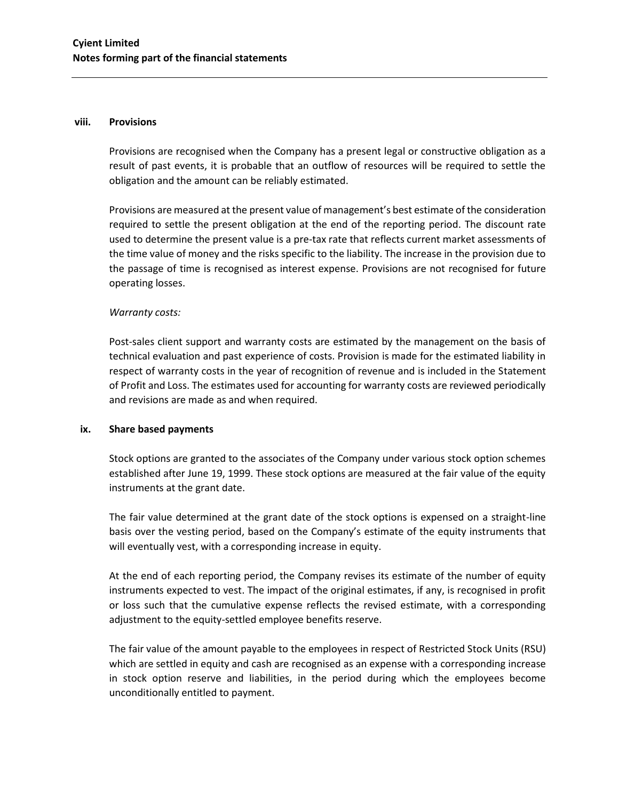#### **viii. Provisions**

Provisions are recognised when the Company has a present legal or constructive obligation as a result of past events, it is probable that an outflow of resources will be required to settle the obligation and the amount can be reliably estimated.

Provisions are measured at the present value of management's best estimate of the consideration required to settle the present obligation at the end of the reporting period. The discount rate used to determine the present value is a pre-tax rate that reflects current market assessments of the time value of money and the risks specific to the liability. The increase in the provision due to the passage of time is recognised as interest expense. Provisions are not recognised for future operating losses.

#### *Warranty costs:*

Post-sales client support and warranty costs are estimated by the management on the basis of technical evaluation and past experience of costs. Provision is made for the estimated liability in respect of warranty costs in the year of recognition of revenue and is included in the Statement of Profit and Loss. The estimates used for accounting for warranty costs are reviewed periodically and revisions are made as and when required.

#### **ix. Share based payments**

Stock options are granted to the associates of the Company under various stock option schemes established after June 19, 1999. These stock options are measured at the fair value of the equity instruments at the grant date.

The fair value determined at the grant date of the stock options is expensed on a straight-line basis over the vesting period, based on the Company's estimate of the equity instruments that will eventually vest, with a corresponding increase in equity.

At the end of each reporting period, the Company revises its estimate of the number of equity instruments expected to vest. The impact of the original estimates, if any, is recognised in profit or loss such that the cumulative expense reflects the revised estimate, with a corresponding adjustment to the equity-settled employee benefits reserve.

The fair value of the amount payable to the employees in respect of Restricted Stock Units (RSU) which are settled in equity and cash are recognised as an expense with a corresponding increase in stock option reserve and liabilities, in the period during which the employees become unconditionally entitled to payment.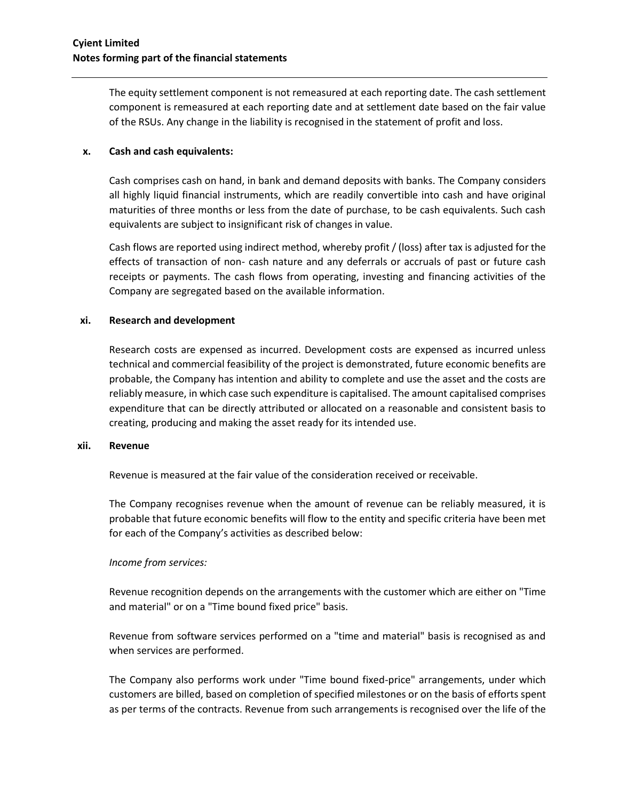The equity settlement component is not remeasured at each reporting date. The cash settlement component is remeasured at each reporting date and at settlement date based on the fair value of the RSUs. Any change in the liability is recognised in the statement of profit and loss.

### **x. Cash and cash equivalents:**

Cash comprises cash on hand, in bank and demand deposits with banks. The Company considers all highly liquid financial instruments, which are readily convertible into cash and have original maturities of three months or less from the date of purchase, to be cash equivalents. Such cash equivalents are subject to insignificant risk of changes in value.

Cash flows are reported using indirect method, whereby profit / (loss) after tax is adjusted for the effects of transaction of non- cash nature and any deferrals or accruals of past or future cash receipts or payments. The cash flows from operating, investing and financing activities of the Company are segregated based on the available information.

#### **xi. Research and development**

Research costs are expensed as incurred. Development costs are expensed as incurred unless technical and commercial feasibility of the project is demonstrated, future economic benefits are probable, the Company has intention and ability to complete and use the asset and the costs are reliably measure, in which case such expenditure is capitalised. The amount capitalised comprises expenditure that can be directly attributed or allocated on a reasonable and consistent basis to creating, producing and making the asset ready for its intended use.

#### **xii. Revenue**

Revenue is measured at the fair value of the consideration received or receivable.

The Company recognises revenue when the amount of revenue can be reliably measured, it is probable that future economic benefits will flow to the entity and specific criteria have been met for each of the Company's activities as described below:

# *Income from services:*

Revenue recognition depends on the arrangements with the customer which are either on "Time and material" or on a "Time bound fixed price" basis.

Revenue from software services performed on a "time and material" basis is recognised as and when services are performed.

The Company also performs work under "Time bound fixed-price" arrangements, under which customers are billed, based on completion of specified milestones or on the basis of efforts spent as per terms of the contracts. Revenue from such arrangements is recognised over the life of the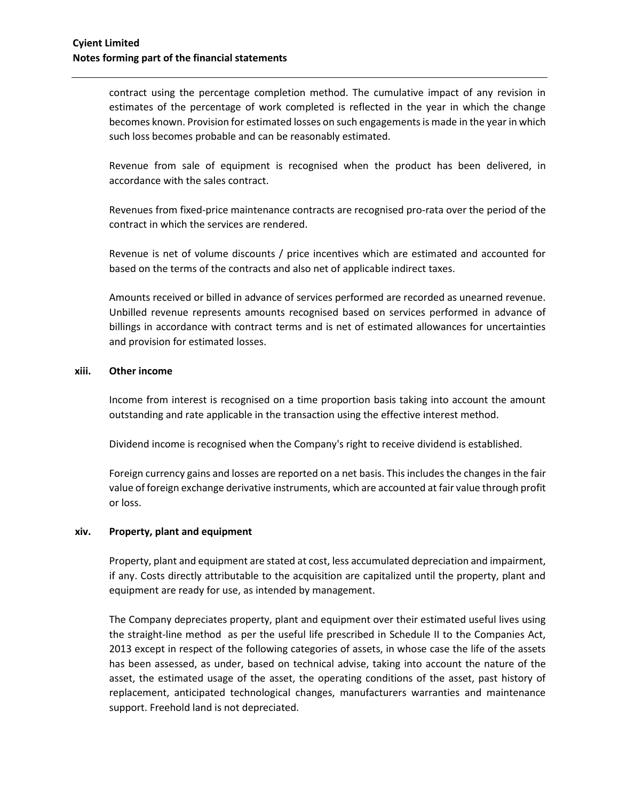contract using the percentage completion method. The cumulative impact of any revision in estimates of the percentage of work completed is reflected in the year in which the change becomes known. Provision for estimated losses on such engagements is made in the year in which such loss becomes probable and can be reasonably estimated.

Revenue from sale of equipment is recognised when the product has been delivered, in accordance with the sales contract.

Revenues from fixed-price maintenance contracts are recognised pro-rata over the period of the contract in which the services are rendered.

Revenue is net of volume discounts / price incentives which are estimated and accounted for based on the terms of the contracts and also net of applicable indirect taxes.

Amounts received or billed in advance of services performed are recorded as unearned revenue. Unbilled revenue represents amounts recognised based on services performed in advance of billings in accordance with contract terms and is net of estimated allowances for uncertainties and provision for estimated losses.

#### **xiii. Other income**

Income from interest is recognised on a time proportion basis taking into account the amount outstanding and rate applicable in the transaction using the effective interest method.

Dividend income is recognised when the Company's right to receive dividend is established.

Foreign currency gains and losses are reported on a net basis. This includes the changes in the fair value of foreign exchange derivative instruments, which are accounted at fair value through profit or loss.

#### **xiv. Property, plant and equipment**

Property, plant and equipment are stated at cost, less accumulated depreciation and impairment, if any. Costs directly attributable to the acquisition are capitalized until the property, plant and equipment are ready for use, as intended by management.

The Company depreciates property, plant and equipment over their estimated useful lives using the straight-line method as per the useful life prescribed in Schedule II to the Companies Act, 2013 except in respect of the following categories of assets, in whose case the life of the assets has been assessed, as under, based on technical advise, taking into account the nature of the asset, the estimated usage of the asset, the operating conditions of the asset, past history of replacement, anticipated technological changes, manufacturers warranties and maintenance support. Freehold land is not depreciated.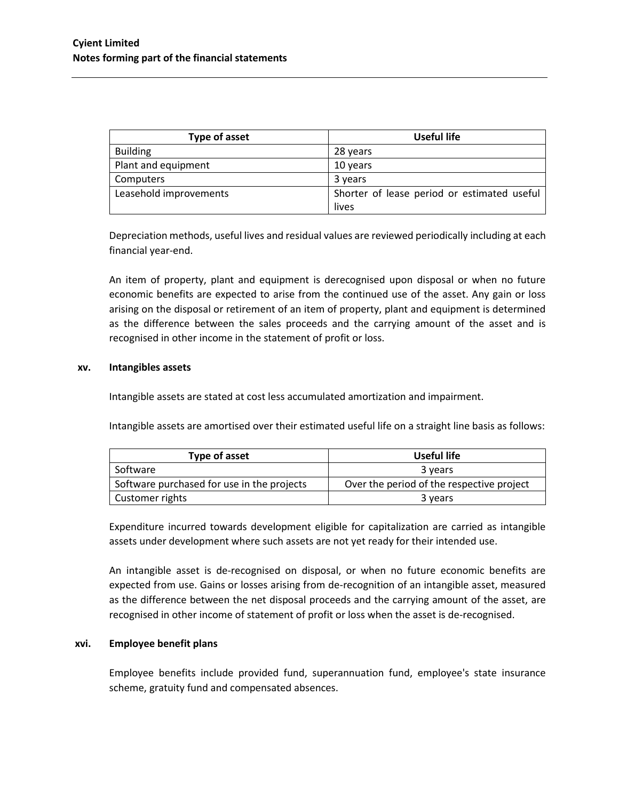| Type of asset          | Useful life                                 |
|------------------------|---------------------------------------------|
| <b>Building</b>        | 28 years                                    |
| Plant and equipment    | 10 years                                    |
| Computers              | 3 years                                     |
| Leasehold improvements | Shorter of lease period or estimated useful |
|                        | lives                                       |

Depreciation methods, useful lives and residual values are reviewed periodically including at each financial year-end.

An item of property, plant and equipment is derecognised upon disposal or when no future economic benefits are expected to arise from the continued use of the asset. Any gain or loss arising on the disposal or retirement of an item of property, plant and equipment is determined as the difference between the sales proceeds and the carrying amount of the asset and is recognised in other income in the statement of profit or loss.

#### **xv. Intangibles assets**

Intangible assets are stated at cost less accumulated amortization and impairment.

Intangible assets are amortised over their estimated useful life on a straight line basis as follows:

| Type of asset                              | Useful life                               |
|--------------------------------------------|-------------------------------------------|
| Software                                   | 3 years                                   |
| Software purchased for use in the projects | Over the period of the respective project |
| Customer rights                            | 3 years                                   |

Expenditure incurred towards development eligible for capitalization are carried as intangible assets under development where such assets are not yet ready for their intended use.

An intangible asset is de-recognised on disposal, or when no future economic benefits are expected from use. Gains or losses arising from de-recognition of an intangible asset, measured as the difference between the net disposal proceeds and the carrying amount of the asset, are recognised in other income of statement of profit or loss when the asset is de-recognised.

# **xvi. Employee benefit plans**

Employee benefits include provided fund, superannuation fund, employee's state insurance scheme, gratuity fund and compensated absences.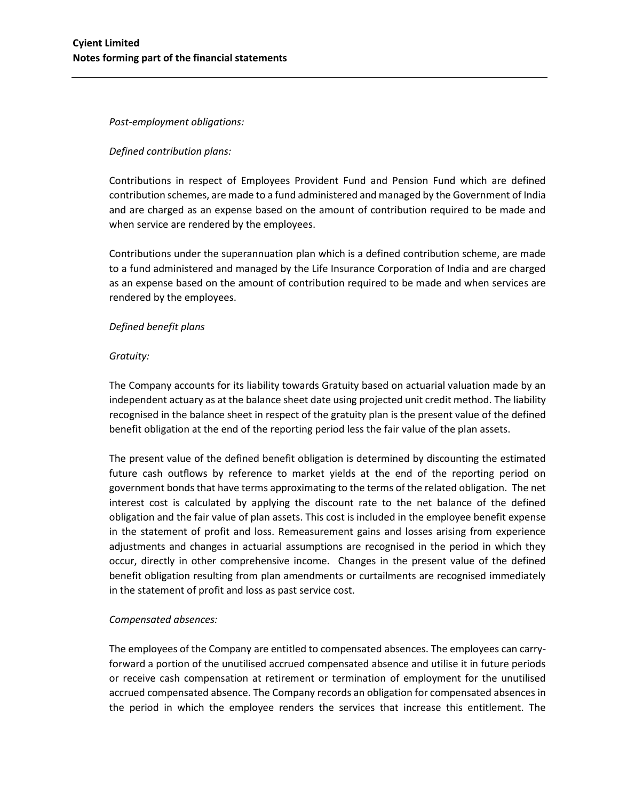### *Post-employment obligations:*

# *Defined contribution plans:*

Contributions in respect of Employees Provident Fund and Pension Fund which are defined contribution schemes, are made to a fund administered and managed by the Government of India and are charged as an expense based on the amount of contribution required to be made and when service are rendered by the employees.

Contributions under the superannuation plan which is a defined contribution scheme, are made to a fund administered and managed by the Life Insurance Corporation of India and are charged as an expense based on the amount of contribution required to be made and when services are rendered by the employees.

# *Defined benefit plans*

#### *Gratuity:*

The Company accounts for its liability towards Gratuity based on actuarial valuation made by an independent actuary as at the balance sheet date using projected unit credit method. The liability recognised in the balance sheet in respect of the gratuity plan is the present value of the defined benefit obligation at the end of the reporting period less the fair value of the plan assets.

The present value of the defined benefit obligation is determined by discounting the estimated future cash outflows by reference to market yields at the end of the reporting period on government bonds that have terms approximating to the terms of the related obligation. The net interest cost is calculated by applying the discount rate to the net balance of the defined obligation and the fair value of plan assets. This cost is included in the employee benefit expense in the statement of profit and loss. Remeasurement gains and losses arising from experience adjustments and changes in actuarial assumptions are recognised in the period in which they occur, directly in other comprehensive income. Changes in the present value of the defined benefit obligation resulting from plan amendments or curtailments are recognised immediately in the statement of profit and loss as past service cost.

# *Compensated absences:*

The employees of the Company are entitled to compensated absences. The employees can carryforward a portion of the unutilised accrued compensated absence and utilise it in future periods or receive cash compensation at retirement or termination of employment for the unutilised accrued compensated absence. The Company records an obligation for compensated absences in the period in which the employee renders the services that increase this entitlement. The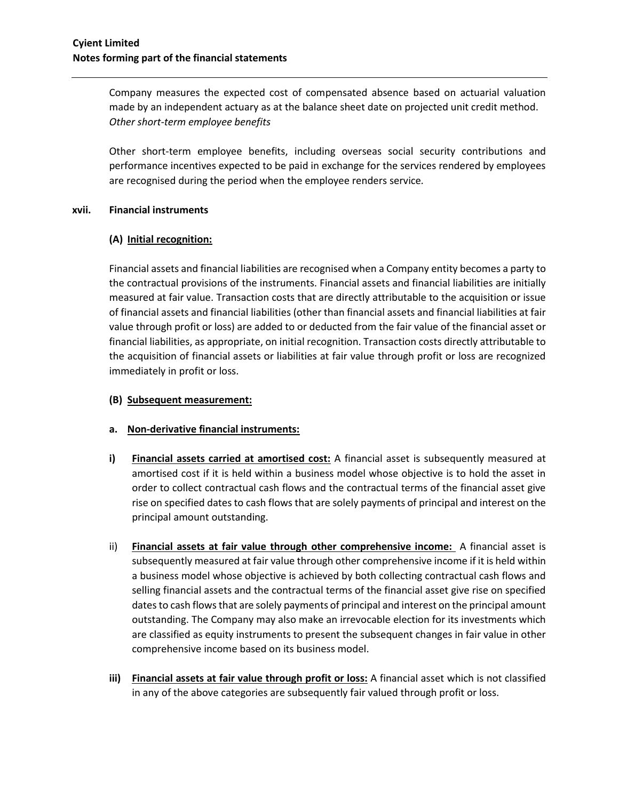Company measures the expected cost of compensated absence based on actuarial valuation made by an independent actuary as at the balance sheet date on projected unit credit method. *Other short-term employee benefits*

Other short-term employee benefits, including overseas social security contributions and performance incentives expected to be paid in exchange for the services rendered by employees are recognised during the period when the employee renders service*.*

#### **xvii. Financial instruments**

# **(A) Initial recognition:**

Financial assets and financial liabilities are recognised when a Company entity becomes a party to the contractual provisions of the instruments. Financial assets and financial liabilities are initially measured at fair value. Transaction costs that are directly attributable to the acquisition or issue of financial assets and financial liabilities (other than financial assets and financial liabilities at fair value through profit or loss) are added to or deducted from the fair value of the financial asset or financial liabilities, as appropriate, on initial recognition. Transaction costs directly attributable to the acquisition of financial assets or liabilities at fair value through profit or loss are recognized immediately in profit or loss.

# **(B) Subsequent measurement:**

# **a. Non-derivative financial instruments:**

- **i) Financial assets carried at amortised cost:** A financial asset is subsequently measured at amortised cost if it is held within a business model whose objective is to hold the asset in order to collect contractual cash flows and the contractual terms of the financial asset give rise on specified dates to cash flows that are solely payments of principal and interest on the principal amount outstanding.
- ii) **Financial assets at fair value through other comprehensive income:** A financial asset is subsequently measured at fair value through other comprehensive income if it is held within a business model whose objective is achieved by both collecting contractual cash flows and selling financial assets and the contractual terms of the financial asset give rise on specified dates to cash flows that are solely payments of principal and interest on the principal amount outstanding. The Company may also make an irrevocable election for its investments which are classified as equity instruments to present the subsequent changes in fair value in other comprehensive income based on its business model.
- **iii) Financial assets at fair value through profit or loss:** A financial asset which is not classified in any of the above categories are subsequently fair valued through profit or loss.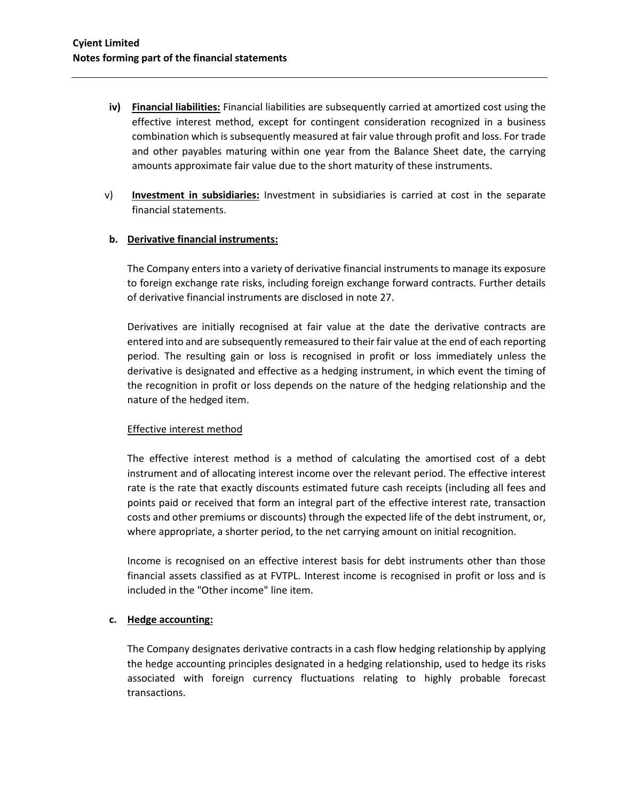- **iv) Financial liabilities:** Financial liabilities are subsequently carried at amortized cost using the effective interest method, except for contingent consideration recognized in a business combination which is subsequently measured at fair value through profit and loss. For trade and other payables maturing within one year from the Balance Sheet date, the carrying amounts approximate fair value due to the short maturity of these instruments.
- v) **Investment in subsidiaries:** Investment in subsidiaries is carried at cost in the separate financial statements.

# **b. Derivative financial instruments:**

The Company enters into a variety of derivative financial instruments to manage its exposure to foreign exchange rate risks, including foreign exchange forward contracts. Further details of derivative financial instruments are disclosed in note 27.

Derivatives are initially recognised at fair value at the date the derivative contracts are entered into and are subsequently remeasured to their fair value at the end of each reporting period. The resulting gain or loss is recognised in profit or loss immediately unless the derivative is designated and effective as a hedging instrument, in which event the timing of the recognition in profit or loss depends on the nature of the hedging relationship and the nature of the hedged item.

#### Effective interest method

The effective interest method is a method of calculating the amortised cost of a debt instrument and of allocating interest income over the relevant period. The effective interest rate is the rate that exactly discounts estimated future cash receipts (including all fees and points paid or received that form an integral part of the effective interest rate, transaction costs and other premiums or discounts) through the expected life of the debt instrument, or, where appropriate, a shorter period, to the net carrying amount on initial recognition.

Income is recognised on an effective interest basis for debt instruments other than those financial assets classified as at FVTPL. Interest income is recognised in profit or loss and is included in the "Other income" line item.

# **c. Hedge accounting:**

The Company designates derivative contracts in a cash flow hedging relationship by applying the hedge accounting principles designated in a hedging relationship, used to hedge its risks associated with foreign currency fluctuations relating to highly probable forecast transactions.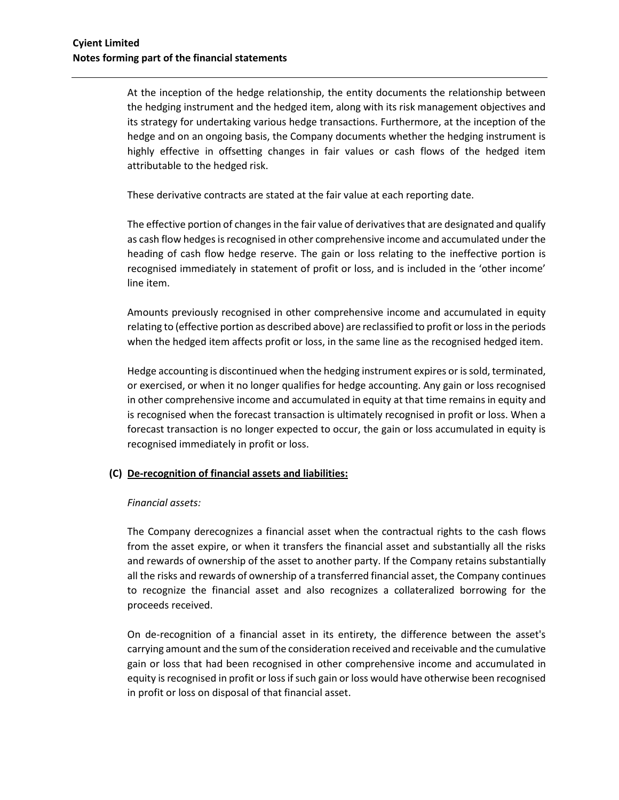At the inception of the hedge relationship, the entity documents the relationship between the hedging instrument and the hedged item, along with its risk management objectives and its strategy for undertaking various hedge transactions. Furthermore, at the inception of the hedge and on an ongoing basis, the Company documents whether the hedging instrument is highly effective in offsetting changes in fair values or cash flows of the hedged item attributable to the hedged risk.

These derivative contracts are stated at the fair value at each reporting date.

The effective portion of changes in the fair value of derivatives that are designated and qualify as cash flow hedges is recognised in other comprehensive income and accumulated under the heading of cash flow hedge reserve. The gain or loss relating to the ineffective portion is recognised immediately in statement of profit or loss, and is included in the 'other income' line item.

Amounts previously recognised in other comprehensive income and accumulated in equity relating to (effective portion as described above) are reclassified to profit or loss in the periods when the hedged item affects profit or loss, in the same line as the recognised hedged item.

Hedge accounting is discontinued when the hedging instrument expires or is sold, terminated, or exercised, or when it no longer qualifies for hedge accounting. Any gain or loss recognised in other comprehensive income and accumulated in equity at that time remains in equity and is recognised when the forecast transaction is ultimately recognised in profit or loss. When a forecast transaction is no longer expected to occur, the gain or loss accumulated in equity is recognised immediately in profit or loss.

# **(C) De-recognition of financial assets and liabilities:**

#### *Financial assets:*

The Company derecognizes a financial asset when the contractual rights to the cash flows from the asset expire, or when it transfers the financial asset and substantially all the risks and rewards of ownership of the asset to another party. If the Company retains substantially all the risks and rewards of ownership of a transferred financial asset, the Company continues to recognize the financial asset and also recognizes a collateralized borrowing for the proceeds received.

On de-recognition of a financial asset in its entirety, the difference between the asset's carrying amount and the sum of the consideration received and receivable and the cumulative gain or loss that had been recognised in other comprehensive income and accumulated in equity is recognised in profit or loss if such gain or loss would have otherwise been recognised in profit or loss on disposal of that financial asset.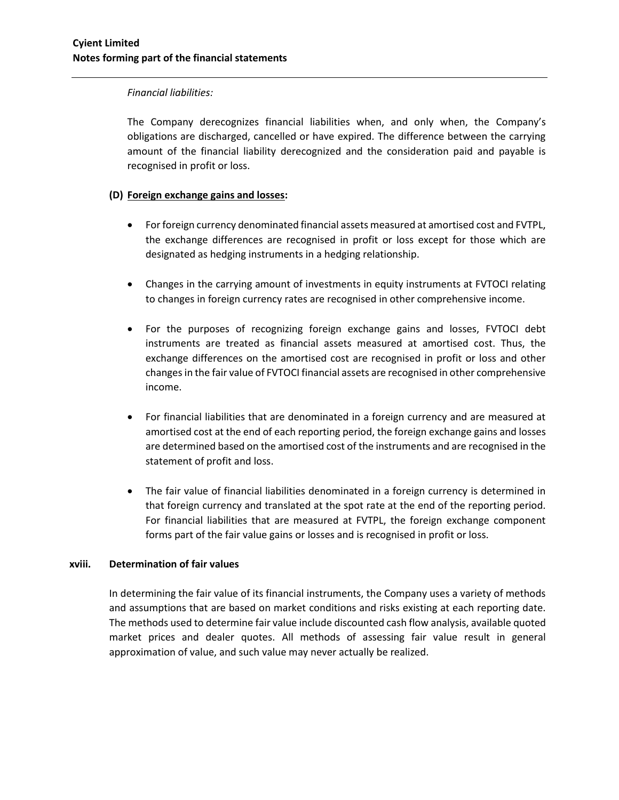#### *Financial liabilities:*

The Company derecognizes financial liabilities when, and only when, the Company's obligations are discharged, cancelled or have expired. The difference between the carrying amount of the financial liability derecognized and the consideration paid and payable is recognised in profit or loss.

# **(D) Foreign exchange gains and losses:**

- For foreign currency denominated financial assets measured at amortised cost and FVTPL, the exchange differences are recognised in profit or loss except for those which are designated as hedging instruments in a hedging relationship.
- Changes in the carrying amount of investments in equity instruments at FVTOCI relating to changes in foreign currency rates are recognised in other comprehensive income.
- For the purposes of recognizing foreign exchange gains and losses, FVTOCI debt instruments are treated as financial assets measured at amortised cost. Thus, the exchange differences on the amortised cost are recognised in profit or loss and other changes in the fair value of FVTOCI financial assets are recognised in other comprehensive income.
- For financial liabilities that are denominated in a foreign currency and are measured at amortised cost at the end of each reporting period, the foreign exchange gains and losses are determined based on the amortised cost of the instruments and are recognised in the statement of profit and loss.
- The fair value of financial liabilities denominated in a foreign currency is determined in that foreign currency and translated at the spot rate at the end of the reporting period. For financial liabilities that are measured at FVTPL, the foreign exchange component forms part of the fair value gains or losses and is recognised in profit or loss.

# **xviii. Determination of fair values**

In determining the fair value of its financial instruments, the Company uses a variety of methods and assumptions that are based on market conditions and risks existing at each reporting date. The methods used to determine fair value include discounted cash flow analysis, available quoted market prices and dealer quotes. All methods of assessing fair value result in general approximation of value, and such value may never actually be realized.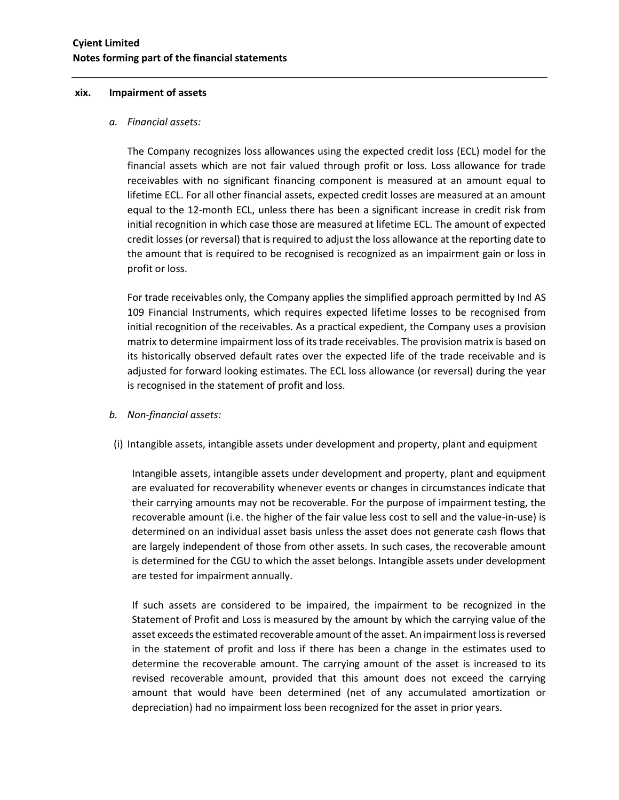#### **xix. Impairment of assets**

#### *a. Financial assets:*

The Company recognizes loss allowances using the expected credit loss (ECL) model for the financial assets which are not fair valued through profit or loss. Loss allowance for trade receivables with no significant financing component is measured at an amount equal to lifetime ECL. For all other financial assets, expected credit losses are measured at an amount equal to the 12-month ECL, unless there has been a significant increase in credit risk from initial recognition in which case those are measured at lifetime ECL. The amount of expected credit losses (or reversal) that is required to adjust the loss allowance at the reporting date to the amount that is required to be recognised is recognized as an impairment gain or loss in profit or loss.

For trade receivables only, the Company applies the simplified approach permitted by Ind AS 109 Financial Instruments, which requires expected lifetime losses to be recognised from initial recognition of the receivables. As a practical expedient, the Company uses a provision matrix to determine impairment loss of its trade receivables. The provision matrix is based on its historically observed default rates over the expected life of the trade receivable and is adjusted for forward looking estimates. The ECL loss allowance (or reversal) during the year is recognised in the statement of profit and loss.

- *b. Non-financial assets:*
- (i) Intangible assets, intangible assets under development and property, plant and equipment

Intangible assets, intangible assets under development and property, plant and equipment are evaluated for recoverability whenever events or changes in circumstances indicate that their carrying amounts may not be recoverable. For the purpose of impairment testing, the recoverable amount (i.e. the higher of the fair value less cost to sell and the value-in-use) is determined on an individual asset basis unless the asset does not generate cash flows that are largely independent of those from other assets. In such cases, the recoverable amount is determined for the CGU to which the asset belongs. Intangible assets under development are tested for impairment annually.

If such assets are considered to be impaired, the impairment to be recognized in the Statement of Profit and Loss is measured by the amount by which the carrying value of the asset exceeds the estimated recoverable amount of the asset. An impairment loss is reversed in the statement of profit and loss if there has been a change in the estimates used to determine the recoverable amount. The carrying amount of the asset is increased to its revised recoverable amount, provided that this amount does not exceed the carrying amount that would have been determined (net of any accumulated amortization or depreciation) had no impairment loss been recognized for the asset in prior years.